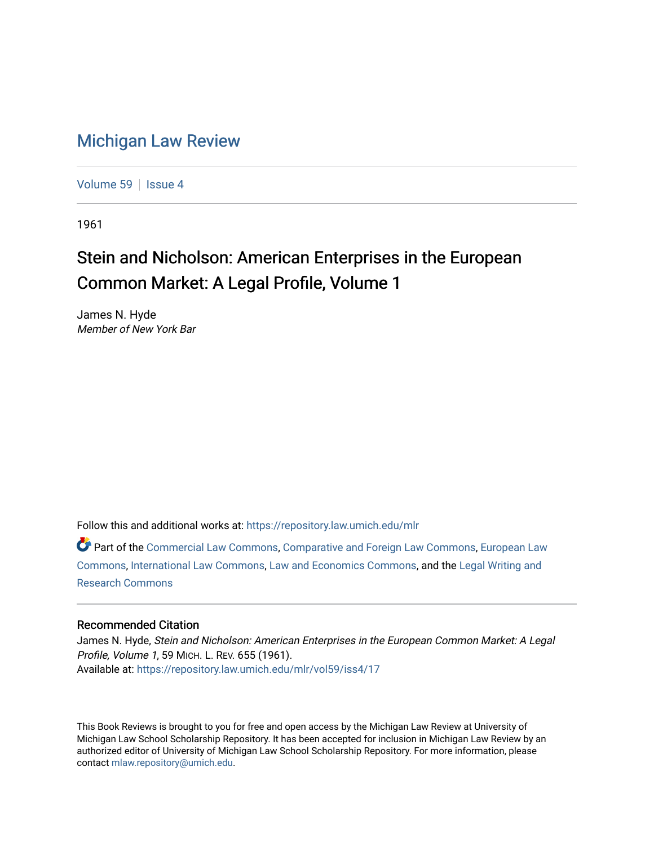## [Michigan Law Review](https://repository.law.umich.edu/mlr)

[Volume 59](https://repository.law.umich.edu/mlr/vol59) | [Issue 4](https://repository.law.umich.edu/mlr/vol59/iss4)

1961

## Stein and Nicholson: American Enterprises in the European Common Market: A Legal Profile, Volume 1

James N. Hyde Member of New York Bar

Follow this and additional works at: [https://repository.law.umich.edu/mlr](https://repository.law.umich.edu/mlr?utm_source=repository.law.umich.edu%2Fmlr%2Fvol59%2Fiss4%2F17&utm_medium=PDF&utm_campaign=PDFCoverPages) 

Part of the [Commercial Law Commons](http://network.bepress.com/hgg/discipline/586?utm_source=repository.law.umich.edu%2Fmlr%2Fvol59%2Fiss4%2F17&utm_medium=PDF&utm_campaign=PDFCoverPages), [Comparative and Foreign Law Commons,](http://network.bepress.com/hgg/discipline/836?utm_source=repository.law.umich.edu%2Fmlr%2Fvol59%2Fiss4%2F17&utm_medium=PDF&utm_campaign=PDFCoverPages) [European Law](http://network.bepress.com/hgg/discipline/1084?utm_source=repository.law.umich.edu%2Fmlr%2Fvol59%2Fiss4%2F17&utm_medium=PDF&utm_campaign=PDFCoverPages)  [Commons](http://network.bepress.com/hgg/discipline/1084?utm_source=repository.law.umich.edu%2Fmlr%2Fvol59%2Fiss4%2F17&utm_medium=PDF&utm_campaign=PDFCoverPages), [International Law Commons,](http://network.bepress.com/hgg/discipline/609?utm_source=repository.law.umich.edu%2Fmlr%2Fvol59%2Fiss4%2F17&utm_medium=PDF&utm_campaign=PDFCoverPages) [Law and Economics Commons](http://network.bepress.com/hgg/discipline/612?utm_source=repository.law.umich.edu%2Fmlr%2Fvol59%2Fiss4%2F17&utm_medium=PDF&utm_campaign=PDFCoverPages), and the [Legal Writing and](http://network.bepress.com/hgg/discipline/614?utm_source=repository.law.umich.edu%2Fmlr%2Fvol59%2Fiss4%2F17&utm_medium=PDF&utm_campaign=PDFCoverPages) [Research Commons](http://network.bepress.com/hgg/discipline/614?utm_source=repository.law.umich.edu%2Fmlr%2Fvol59%2Fiss4%2F17&utm_medium=PDF&utm_campaign=PDFCoverPages) 

## Recommended Citation

James N. Hyde, Stein and Nicholson: American Enterprises in the European Common Market: A Legal Profile, Volume 1, 59 MICH. L. REV. 655 (1961). Available at: [https://repository.law.umich.edu/mlr/vol59/iss4/17](https://repository.law.umich.edu/mlr/vol59/iss4/17?utm_source=repository.law.umich.edu%2Fmlr%2Fvol59%2Fiss4%2F17&utm_medium=PDF&utm_campaign=PDFCoverPages) 

This Book Reviews is brought to you for free and open access by the Michigan Law Review at University of Michigan Law School Scholarship Repository. It has been accepted for inclusion in Michigan Law Review by an authorized editor of University of Michigan Law School Scholarship Repository. For more information, please contact [mlaw.repository@umich.edu](mailto:mlaw.repository@umich.edu).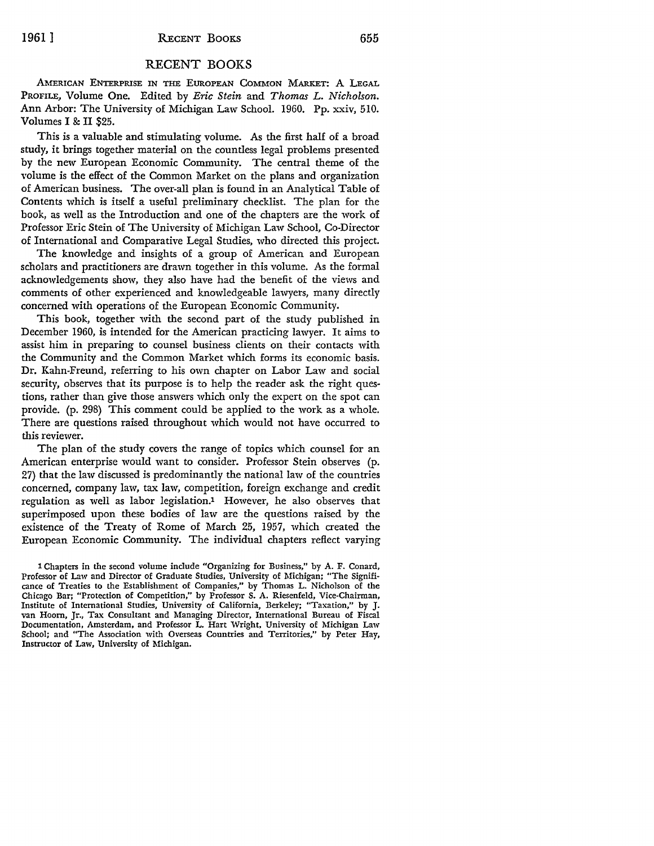## RECENT BOOKS

AMERICAN ENTERPRISE IN THE EUROPEAN COMMON MARKET: A LEGAL PROFILE, Volume One. Edited by *Eric Stein* and *Thomas L. Nicholson.*  Ann Arbor: The University of Michigan Law School. 1960. Pp. xxiv, 510. Volumes I & II \$25.

This is a valuable and stimulating volume. As the first half of a broad study, it brings together material on the countless legal problems presented by the new European Economic Community. The central theme of the volume is the effect of the Common Market on the plans and organization of American business. The over-all plan is found in an Analytical Table of Contents which is itself a useful preliminary checklist. The plan for the book, as well as the Introduction and one of the chapters are the work of Professor Eric Stein of The University of Michigan Law School, Co-Director of International and Comparative Legal Studies, who directed this project.

The knowledge and insights of a group of American and European scholars and practitioners are drawn together in this volume. As the formal acknowledgements show, they also have had the benefit of the views and comments of other experienced and knowledgeable lawyers, many directly concerned with operations of the European Economic Community.

This book, together with the second part of the study published in December 1960, is intended for the American practicing lawyer. It aims to assist him in preparing to counsel business clients on their contacts with the Community and the Common Market which forms its economic basis. Dr. Kahn-Freund, referring to his own chapter on Labor Law and social security, observes that its purpose is to help the reader ask the right questions, rather than give those answers which only the expert on the spot can provide. (p. 298) This comment could be applied to the work as a whole. There are questions raised throughout which would not have occurred to this reviewer.

The plan of the study covers the range of topics which counsel for an American enterprise would want to consider. Professor Stein observes (p. 27) that the law discussed is predominantly the national law of the countries concerned, company law, tax law, competition, foreign exchange and credit regulation as well as labor legislation.1 However, he also observes that superimposed upon these bodies of law are the questions raised by the existence of the Treaty of Rome of March 25, 1957, which created the European Economic Community. The individual chapters reflect varying

<sup>1</sup> Chapters in the second volume include "Organizing for Business," by A. F. Conard, Professor of Law and Director of Graduate Studies, University of Michigan; "The Significance of Treaties to the Establishment of Companies," by Thomas L. Nicholson of the Chicago Bar; "Protection of Competition," by Professor S. A. Riesenfeld, Vice-Chairman, Institute of International Studies, University of California, Berkeley; "Taxation," by J. van Hoorn, Jr., Tax Consultant and Managing Director, International Bureau of Fiscal Documentation, Amsterdam, and Professor L. Hart Wright, University of Michigan Law School; and "The Association with Overseas Countries and Territories," by Peter Hay, Instructor of Law, University of Michigan.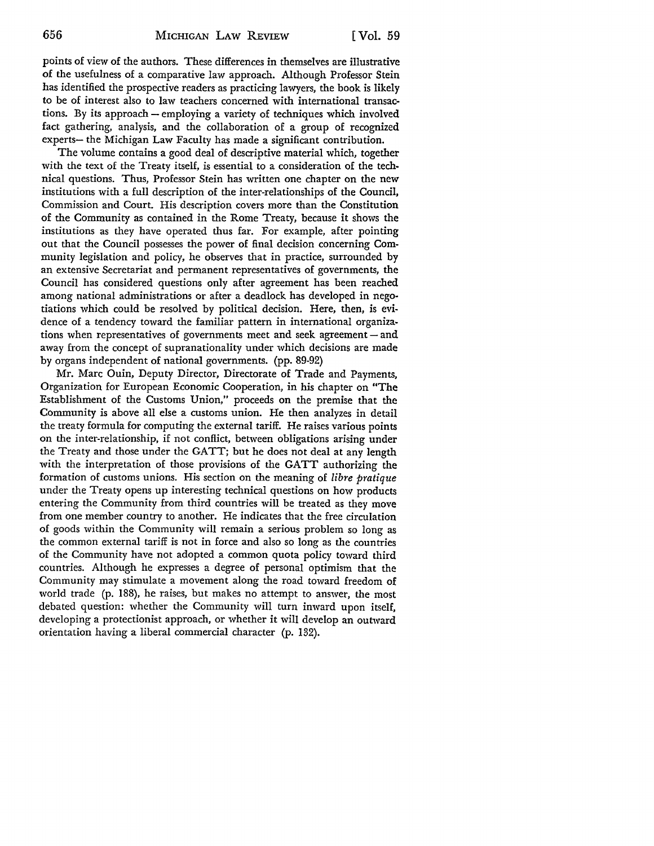points of view of the authors. These differences in themselves are illustrative of the usefulness of a comparative law approach. Although Professor Stein has identified the prospective readers as practicing lawyers, the book is likely to be of interest also to law teachers concerned with international transactions. By its approach - employing a variety of techniques which involved fact gathering, analysis, and the collaboration of a group of recognized experts- the Michigan Law Faculty has made a significant contribution.

The volume contains a good deal of descriptive material which, together with the text of the Treaty itself, is essential to a consideration of the technical questions. Thus, Professor Stein has written one chapter on the new institutions with a full description of the inter-relationships of the Council, Commission and Court. His description covers more than the Constitution of the Community as contained in the Rome Treaty, because it shows the institutions as they have operated thus far. For example, after pointing out that the Council possesses the power of final decision concerning Community legislation and policy, he observes that in practice, surrounded by an extensive Secretariat and permanent representatives of governments, the Council has considered questions only after agreement has been reached among national administrations or after a deadlock has developed in negotiations which could be resolved by political decision. Here, then, is evidence of a tendency toward the familiar pattern in international organizations when representatives of governments meet and seek agreement  $-$  and away from the concept of supranationality under which decisions are made by organs independent of national governments. (pp. 89-92)

Mr. Marc Ouin, Deputy Director, Directorate of Trade and Payments, Organization for European Economic Cooperation, in his chapter on "The Establishment of the Customs Union," proceeds on the premise that the Community is above all else a customs union. He then analyzes in detail the treaty formula for computing the external tariff. He raises various points on the inter-relationship, if not conflict, between obligations arising under the Treaty and those under the GATT; but he does not deal at any length with the interpretation of those provisions of the GATT authorizing the formation of customs unions. His section on the meaning of *libre pratique*  under the Treaty opens up interesting technical questions on how products entering the Community from third countries will be treated as they move from one member country to another. He indicates that the free circulation of goods within the Community will remain a serious problem so long as the common external tariff is not in force and also so long as the countries of the Community have not adopted a common quota policy toward third countries. Although he expresses a degree of personal optimism that the Community may stimulate a movement along the road toward freedom of world trade (p. 188), he raises, but makes no attempt to answer, the most debated question: whether the Community will turn inward upon itself, developing a protectionist approach, or whether it will develop an outward orientation having a liberal commercial character (p. 132).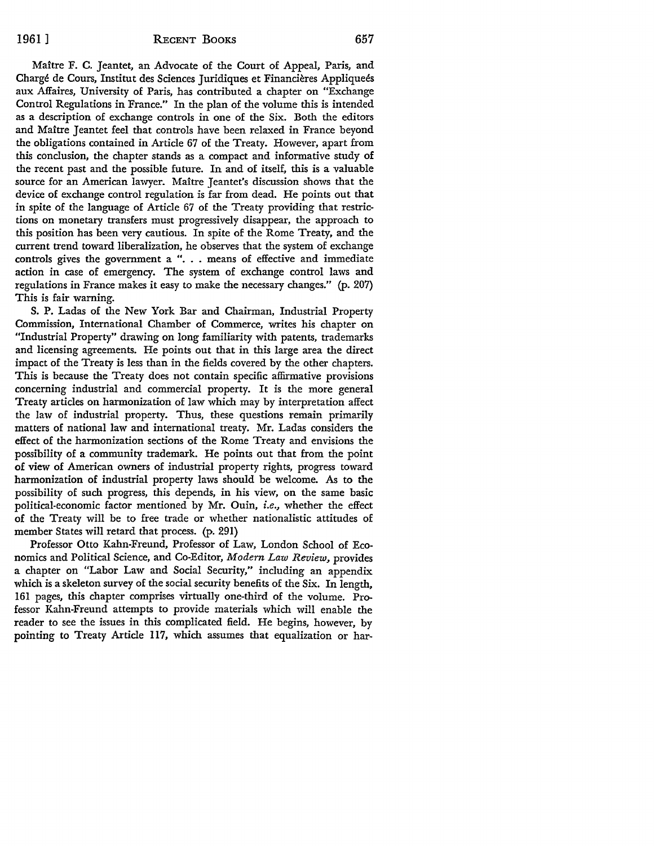Maitre F. C. Jeantet, an Advocate of the Court of Appeal, Paris, and Chargé de Cours, Institut des Sciences Juridiques et Financières Appliqueés aux Affaires, University of Paris, has contributed a chapter on "Exchange Control Regulations in France." In the plan of the volume this is intended as a description of exchange controls in one of the Six. Both the editors and Maitre Jeantet feel that controls have been relaxed in France beyond the obligations contained in Article 67 of the Treaty. However, apart from this conclusion, the chapter stands as a compact and informative study of the recent past and the possible future. In and of itself, this is a valuable source for an American lawyer. Maître Jeantet's discussion shows that the device of exchange control regulation is far from dead. He points out that in spite of the language of Article 67 of the Treaty providing that restrictions on monetary transfers must progressively disappear, the approach to this position has been very cautious. In spite of the Rome Treaty, and the current trend toward liberalization, he observes that the system of exchange controls gives the government a ". . . means of effective and immediate action in case of emergency. The system of exchange control laws and regulations in France makes it easy to make the necessary changes." (p. 207) This is fair warning.

S. P. Ladas of the New York Bar and Chairman, Industrial Property Commission, International Chamber of Commerce, writes his chapter on "Industrial Property" drawing on long familiarity with patents, trademarks and licensing agreements. He points out that in this large area the direct impact of the Treaty is less than in the fields covered by the other chapters. This is because the Treaty does not contain specific affirmative provisions concerning industrial and commercial property. It is the more general Treaty articles on harmonization of law which may by interpretation affect the law of industrial property. Thus, these questions remain primarily matters of national law and international treaty. Mr. Ladas considers the effect of the harmonization sections of the Rome Treaty and envisions the possibility of a community trademark. He points out that from the point of view of American owners of industrial property rights, progress toward harmonization of industrial property laws should be welcome. As to the possibility of such progress, this depends, in his view, on the same basic political-economic factor mentioned by Mr. Ouin, *i.e.,* whether the effect of the Treaty will be to free trade or whether nationalistic attitudes of member States will retard that process. (p. 291)

Professor Otto Kahn-Freund, Professor of Law, London School of Economics and Political Science, and Co-Editor, *Modern Law Review,* provides a chapter on "Labor Law and Social Security," including an appendix which is a skeleton survey of the social security benefits of the Six. In length, 161 pages, this chapter comprises virtually one-third of the volume. Professor Kahn-Freund attempts to provide materials which will enable the reader to see the issues in this complicated field. He begins, however, by pointing to Treaty Article 117, which assumes that equalization or har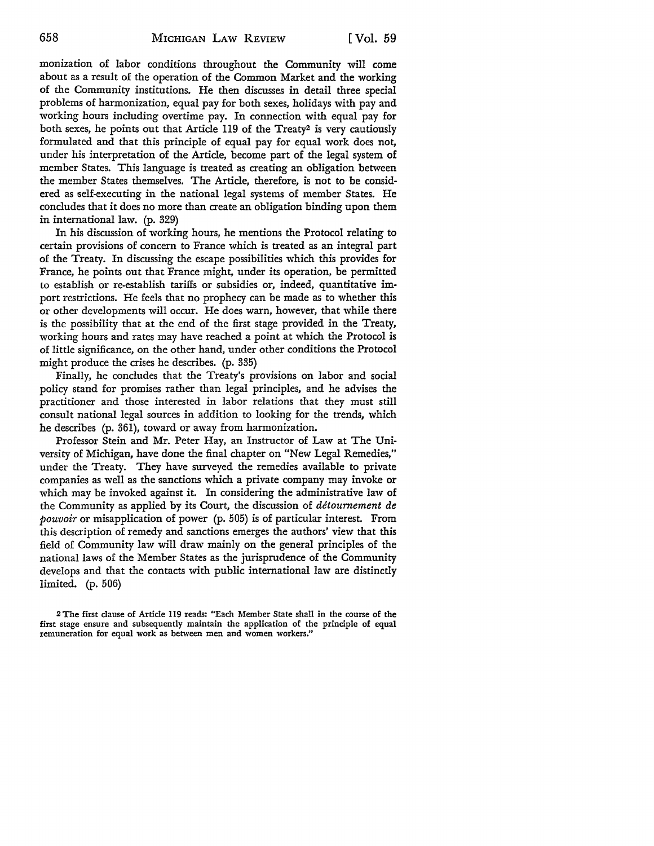monization of labor conditions throughout the Community will come about as a result of the operation of the Common Market and the working of the Community institutions. He then discusses in detail three special problems of harmonization, equal pay for both sexes, holidays with pay and working hours including overtime pay. In connection with equal pay for both *sexes,* he points out that Article 119 of the Treaty2 is very cautiously formulated and that this principle of equal pay for equal work does not, under his interpretation of the Article, become part of the legal system of member States. This language is treated as creating an obligation between the member States themselves. The Article, therefore, is not to be considered as self-executing in the national legal systems of member States. He concludes that it does no more than create an obligation binding upon them in international law. (p. 329)

In his discussion of working hours, he mentions the Protocol relating to certain provisions of concern to France which is treated as an integral part of the Treaty. In discussing the escape possibilities which this provides for France, he points out that France might, under its operation, be permitted to establish or re-establish tariffs or subsidies *or,* indeed, quantitative import restrictions. He feels that no prophecy can be made as to whether this or other developments will occur. He does warn, however, that while there is the possibility that at the end of the first stage provided in the Treaty, working hours and rates may have reached a point at which the Protocol is of little significance, on the other hand, under other conditions the Protocol might produce the crises he describes. (p. 335)

Finally, he concludes that the Treaty's provisions on labor and social policy stand for promises rather than legal principles, and he advises the practitioner and those interested in labor relations that they must still consult national legal sources in addition to looking for the trends, which he describes (p. 361), toward or away from harmonization.

Professor Stein and Mr. Peter Hay, an Instructor of Law at The University of Michigan, have done the final chapter on "New Legal Remedies," under the Treaty. They have surveyed the remedies available to private companies as well as the sanctions which a private company may invoke or which may be invoked against it. In considering the administrative law of the Community as applied by its *Court,* the discussion of *detournement de pouvoir* or misapplication of power (p. 505) is of particular interest. From this description of remedy and sanctions emerges the authors' view that this field of Community law will draw mainly on the general principles of the national laws of the Member States as the jurisprudence of the Community develops and that the contacts with public international law are distinctly limited. (p. 506)

<sup>2</sup>The first clause of Article 119 reads: "Each Member State shall in the course of the first stage ensure and subsequently maintain the application of the principle of equal remuneration for equal work as between men and women workers."